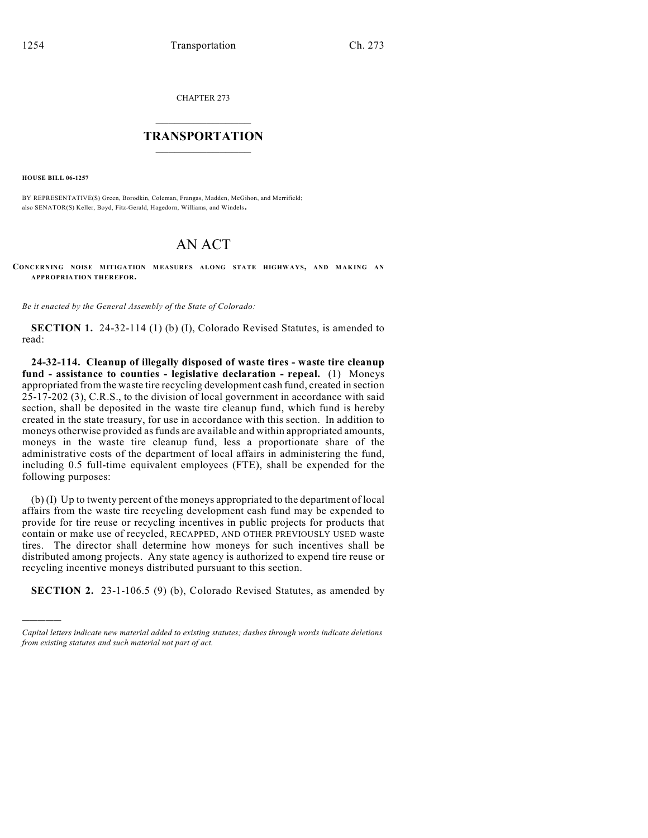CHAPTER 273

## $\mathcal{L}_\text{max}$  . The set of the set of the set of the set of the set of the set of the set of the set of the set of the set of the set of the set of the set of the set of the set of the set of the set of the set of the set **TRANSPORTATION**  $\_$

**HOUSE BILL 06-1257**

)))))

BY REPRESENTATIVE(S) Green, Borodkin, Coleman, Frangas, Madden, McGihon, and Merrifield; also SENATOR(S) Keller, Boyd, Fitz-Gerald, Hagedorn, Williams, and Windels.

## AN ACT

**CONCERNING NOISE MITIGATION MEASURES ALONG STATE HIGHWAYS, AND MAKING AN APPROPRIATION THEREFOR.**

*Be it enacted by the General Assembly of the State of Colorado:*

**SECTION 1.** 24-32-114 (1) (b) (I), Colorado Revised Statutes, is amended to read:

**24-32-114. Cleanup of illegally disposed of waste tires - waste tire cleanup fund - assistance to counties - legislative declaration - repeal.** (1) Moneys appropriated from the waste tire recycling development cash fund, created in section 25-17-202 (3), C.R.S., to the division of local government in accordance with said section, shall be deposited in the waste tire cleanup fund, which fund is hereby created in the state treasury, for use in accordance with this section. In addition to moneys otherwise provided as funds are available and within appropriated amounts, moneys in the waste tire cleanup fund, less a proportionate share of the administrative costs of the department of local affairs in administering the fund, including 0.5 full-time equivalent employees (FTE), shall be expended for the following purposes:

(b) (I) Up to twenty percent of the moneys appropriated to the department of local affairs from the waste tire recycling development cash fund may be expended to provide for tire reuse or recycling incentives in public projects for products that contain or make use of recycled, RECAPPED, AND OTHER PREVIOUSLY USED waste tires. The director shall determine how moneys for such incentives shall be distributed among projects. Any state agency is authorized to expend tire reuse or recycling incentive moneys distributed pursuant to this section.

**SECTION 2.** 23-1-106.5 (9) (b), Colorado Revised Statutes, as amended by

*Capital letters indicate new material added to existing statutes; dashes through words indicate deletions from existing statutes and such material not part of act.*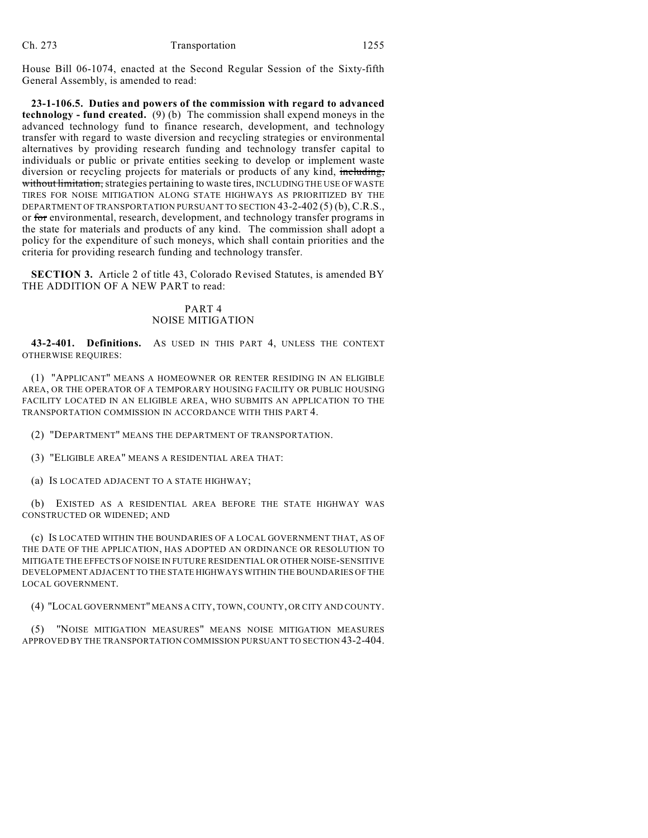House Bill 06-1074, enacted at the Second Regular Session of the Sixty-fifth General Assembly, is amended to read:

**23-1-106.5. Duties and powers of the commission with regard to advanced technology - fund created.** (9) (b) The commission shall expend moneys in the advanced technology fund to finance research, development, and technology transfer with regard to waste diversion and recycling strategies or environmental alternatives by providing research funding and technology transfer capital to individuals or public or private entities seeking to develop or implement waste diversion or recycling projects for materials or products of any kind, including, without limitation, strategies pertaining to waste tires, INCLUDING THE USE OF WASTE TIRES FOR NOISE MITIGATION ALONG STATE HIGHWAYS AS PRIORITIZED BY THE DEPARTMENT OF TRANSPORTATION PURSUANT TO SECTION 43-2-402 (5) (b), C.R.S., or for environmental, research, development, and technology transfer programs in the state for materials and products of any kind. The commission shall adopt a policy for the expenditure of such moneys, which shall contain priorities and the criteria for providing research funding and technology transfer.

**SECTION 3.** Article 2 of title 43, Colorado Revised Statutes, is amended BY THE ADDITION OF A NEW PART to read:

## PART 4 NOISE MITIGATION

**43-2-401. Definitions.** AS USED IN THIS PART 4, UNLESS THE CONTEXT OTHERWISE REQUIRES:

(1) "APPLICANT" MEANS A HOMEOWNER OR RENTER RESIDING IN AN ELIGIBLE AREA, OR THE OPERATOR OF A TEMPORARY HOUSING FACILITY OR PUBLIC HOUSING FACILITY LOCATED IN AN ELIGIBLE AREA, WHO SUBMITS AN APPLICATION TO THE TRANSPORTATION COMMISSION IN ACCORDANCE WITH THIS PART 4.

(2) "DEPARTMENT" MEANS THE DEPARTMENT OF TRANSPORTATION.

(3) "ELIGIBLE AREA" MEANS A RESIDENTIAL AREA THAT:

(a) IS LOCATED ADJACENT TO A STATE HIGHWAY;

(b) EXISTED AS A RESIDENTIAL AREA BEFORE THE STATE HIGHWAY WAS CONSTRUCTED OR WIDENED; AND

(c) IS LOCATED WITHIN THE BOUNDARIES OF A LOCAL GOVERNMENT THAT, AS OF THE DATE OF THE APPLICATION, HAS ADOPTED AN ORDINANCE OR RESOLUTION TO MITIGATE THE EFFECTS OF NOISE IN FUTURE RESIDENTIAL OR OTHER NOISE-SENSITIVE DEVELOPMENT ADJACENT TO THE STATE HIGHWAYS WITHIN THE BOUNDARIES OF THE LOCAL GOVERNMENT.

(4) "LOCAL GOVERNMENT" MEANS A CITY, TOWN, COUNTY, OR CITY AND COUNTY.

(5) "NOISE MITIGATION MEASURES" MEANS NOISE MITIGATION MEASURES APPROVED BY THE TRANSPORTATION COMMISSION PURSUANT TO SECTION 43-2-404.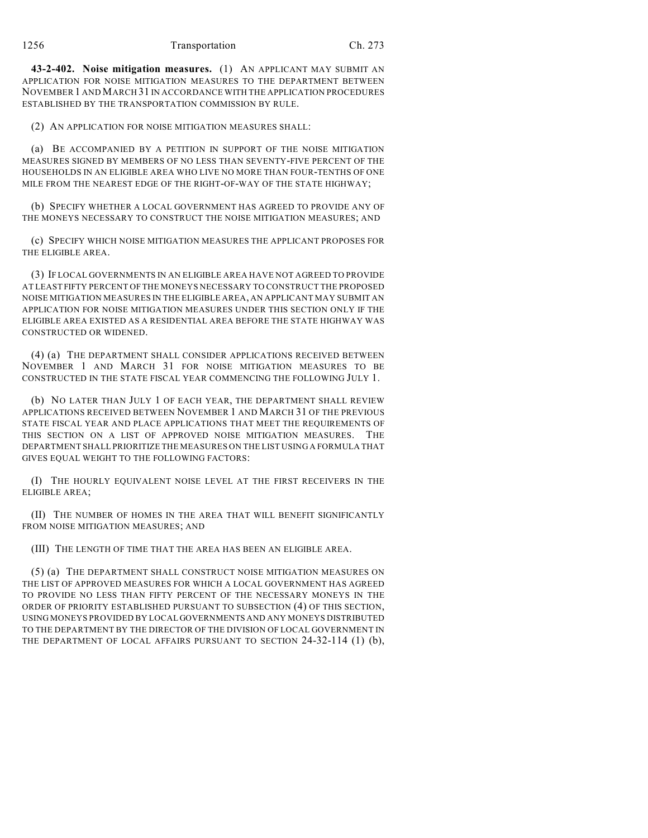**43-2-402. Noise mitigation measures.** (1) AN APPLICANT MAY SUBMIT AN APPLICATION FOR NOISE MITIGATION MEASURES TO THE DEPARTMENT BETWEEN NOVEMBER 1 AND MARCH 31 IN ACCORDANCE WITH THE APPLICATION PROCEDURES ESTABLISHED BY THE TRANSPORTATION COMMISSION BY RULE.

(2) AN APPLICATION FOR NOISE MITIGATION MEASURES SHALL:

(a) BE ACCOMPANIED BY A PETITION IN SUPPORT OF THE NOISE MITIGATION MEASURES SIGNED BY MEMBERS OF NO LESS THAN SEVENTY-FIVE PERCENT OF THE HOUSEHOLDS IN AN ELIGIBLE AREA WHO LIVE NO MORE THAN FOUR-TENTHS OF ONE MILE FROM THE NEAREST EDGE OF THE RIGHT-OF-WAY OF THE STATE HIGHWAY;

(b) SPECIFY WHETHER A LOCAL GOVERNMENT HAS AGREED TO PROVIDE ANY OF THE MONEYS NECESSARY TO CONSTRUCT THE NOISE MITIGATION MEASURES; AND

(c) SPECIFY WHICH NOISE MITIGATION MEASURES THE APPLICANT PROPOSES FOR THE ELIGIBLE AREA.

(3) IF LOCAL GOVERNMENTS IN AN ELIGIBLE AREA HAVE NOT AGREED TO PROVIDE AT LEAST FIFTY PERCENT OF THE MONEYS NECESSARY TO CONSTRUCT THE PROPOSED NOISE MITIGATION MEASURES IN THE ELIGIBLE AREA, AN APPLICANT MAY SUBMIT AN APPLICATION FOR NOISE MITIGATION MEASURES UNDER THIS SECTION ONLY IF THE ELIGIBLE AREA EXISTED AS A RESIDENTIAL AREA BEFORE THE STATE HIGHWAY WAS CONSTRUCTED OR WIDENED.

(4) (a) THE DEPARTMENT SHALL CONSIDER APPLICATIONS RECEIVED BETWEEN NOVEMBER 1 AND MARCH 31 FOR NOISE MITIGATION MEASURES TO BE CONSTRUCTED IN THE STATE FISCAL YEAR COMMENCING THE FOLLOWING JULY 1.

(b) NO LATER THAN JULY 1 OF EACH YEAR, THE DEPARTMENT SHALL REVIEW APPLICATIONS RECEIVED BETWEEN NOVEMBER 1 AND MARCH 31 OF THE PREVIOUS STATE FISCAL YEAR AND PLACE APPLICATIONS THAT MEET THE REQUIREMENTS OF THIS SECTION ON A LIST OF APPROVED NOISE MITIGATION MEASURES. THE DEPARTMENT SHALL PRIORITIZE THE MEASURES ON THE LIST USING A FORMULA THAT GIVES EQUAL WEIGHT TO THE FOLLOWING FACTORS:

(I) THE HOURLY EQUIVALENT NOISE LEVEL AT THE FIRST RECEIVERS IN THE ELIGIBLE AREA;

(II) THE NUMBER OF HOMES IN THE AREA THAT WILL BENEFIT SIGNIFICANTLY FROM NOISE MITIGATION MEASURES; AND

(III) THE LENGTH OF TIME THAT THE AREA HAS BEEN AN ELIGIBLE AREA.

(5) (a) THE DEPARTMENT SHALL CONSTRUCT NOISE MITIGATION MEASURES ON THE LIST OF APPROVED MEASURES FOR WHICH A LOCAL GOVERNMENT HAS AGREED TO PROVIDE NO LESS THAN FIFTY PERCENT OF THE NECESSARY MONEYS IN THE ORDER OF PRIORITY ESTABLISHED PURSUANT TO SUBSECTION (4) OF THIS SECTION, USING MONEYS PROVIDED BY LOCAL GOVERNMENTS AND ANY MONEYS DISTRIBUTED TO THE DEPARTMENT BY THE DIRECTOR OF THE DIVISION OF LOCAL GOVERNMENT IN THE DEPARTMENT OF LOCAL AFFAIRS PURSUANT TO SECTION 24-32-114 (1) (b),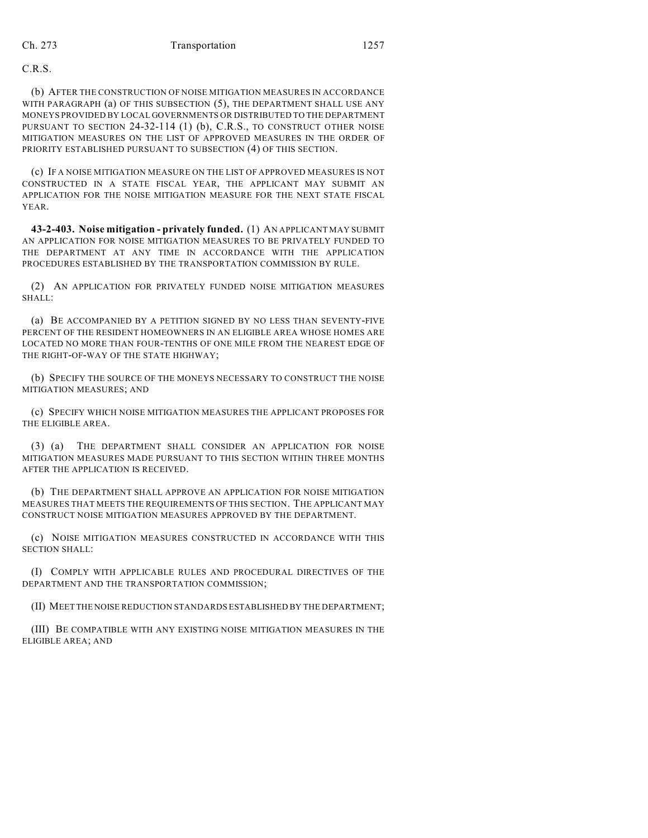C.R.S.

(b) AFTER THE CONSTRUCTION OF NOISE MITIGATION MEASURES IN ACCORDANCE WITH PARAGRAPH (a) OF THIS SUBSECTION (5), THE DEPARTMENT SHALL USE ANY MONEYS PROVIDED BY LOCAL GOVERNMENTS OR DISTRIBUTED TO THE DEPARTMENT PURSUANT TO SECTION 24-32-114 (1) (b), C.R.S., TO CONSTRUCT OTHER NOISE MITIGATION MEASURES ON THE LIST OF APPROVED MEASURES IN THE ORDER OF PRIORITY ESTABLISHED PURSUANT TO SUBSECTION (4) OF THIS SECTION.

(c) IF A NOISE MITIGATION MEASURE ON THE LIST OF APPROVED MEASURES IS NOT CONSTRUCTED IN A STATE FISCAL YEAR, THE APPLICANT MAY SUBMIT AN APPLICATION FOR THE NOISE MITIGATION MEASURE FOR THE NEXT STATE FISCAL YEAR.

**43-2-403. Noise mitigation - privately funded.** (1) AN APPLICANT MAY SUBMIT AN APPLICATION FOR NOISE MITIGATION MEASURES TO BE PRIVATELY FUNDED TO THE DEPARTMENT AT ANY TIME IN ACCORDANCE WITH THE APPLICATION PROCEDURES ESTABLISHED BY THE TRANSPORTATION COMMISSION BY RULE.

(2) AN APPLICATION FOR PRIVATELY FUNDED NOISE MITIGATION MEASURES SHALL:

(a) BE ACCOMPANIED BY A PETITION SIGNED BY NO LESS THAN SEVENTY-FIVE PERCENT OF THE RESIDENT HOMEOWNERS IN AN ELIGIBLE AREA WHOSE HOMES ARE LOCATED NO MORE THAN FOUR-TENTHS OF ONE MILE FROM THE NEAREST EDGE OF THE RIGHT-OF-WAY OF THE STATE HIGHWAY;

(b) SPECIFY THE SOURCE OF THE MONEYS NECESSARY TO CONSTRUCT THE NOISE MITIGATION MEASURES; AND

(c) SPECIFY WHICH NOISE MITIGATION MEASURES THE APPLICANT PROPOSES FOR THE ELIGIBLE AREA.

(3) (a) THE DEPARTMENT SHALL CONSIDER AN APPLICATION FOR NOISE MITIGATION MEASURES MADE PURSUANT TO THIS SECTION WITHIN THREE MONTHS AFTER THE APPLICATION IS RECEIVED.

(b) THE DEPARTMENT SHALL APPROVE AN APPLICATION FOR NOISE MITIGATION MEASURES THAT MEETS THE REQUIREMENTS OF THIS SECTION. THE APPLICANT MAY CONSTRUCT NOISE MITIGATION MEASURES APPROVED BY THE DEPARTMENT.

(c) NOISE MITIGATION MEASURES CONSTRUCTED IN ACCORDANCE WITH THIS SECTION SHALL:

(I) COMPLY WITH APPLICABLE RULES AND PROCEDURAL DIRECTIVES OF THE DEPARTMENT AND THE TRANSPORTATION COMMISSION;

(II) MEET THE NOISE REDUCTION STANDARDS ESTABLISHED BY THE DEPARTMENT;

(III) BE COMPATIBLE WITH ANY EXISTING NOISE MITIGATION MEASURES IN THE ELIGIBLE AREA; AND